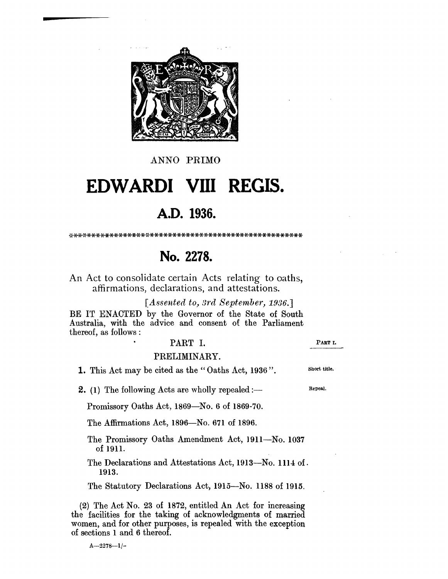

ANNO PRlMO

# **EDWARDI VIII REGIS.**

# **A.D. 1936.**

#### ':<',H<-,(-\*;(-\*;(-\*\*;(-\*\*\*\*\*\*-)l-\*\*\*\*\*\*\*\*\*\*\*\*\*\*\*\*\*\*\*\*\*\*\*\*\*\*\*\*\*\*\*\*\*\*

# **No. 2278.**

An Act to consolidate certain Acts relating to oaths, affirmations, declarations, and attestations.

*[Assented to, 3rd September, 1936.]* 

BE IT ENACTED by the Governor of the State of South Australia, with the advice and consent of the Parliament thereof, as follows:

# PART I.

# PRELIMINARY.

1. This Act may be cited as the" Oaths Act, 1936".

**2.** (1) The following Acts are wholly repealed: $\rightarrow$ 

Promissory Oaths Act, 1869-No. 6 of 1869-70.

The Affirmations Act, 1896-No. 671 of 1896.

- The Promissory Oaths Amendment Act, 1911-No. 1037 of 1911.
- The Declarations and Attestations Act, 1913-No. 1114 of. 1913.

The Statutory Declarations Act, 1915-No. 1188 of 1915.

(2) The Act No. 23 of 1872, entitled An Act for increasing the facilities for the taking of acknowledgments of married women, and for other purposes, is repealed with the exception of sections 1 and 6 thereof.

 $A-2278-1/-$ 

PART I.

Short title.

Repeal.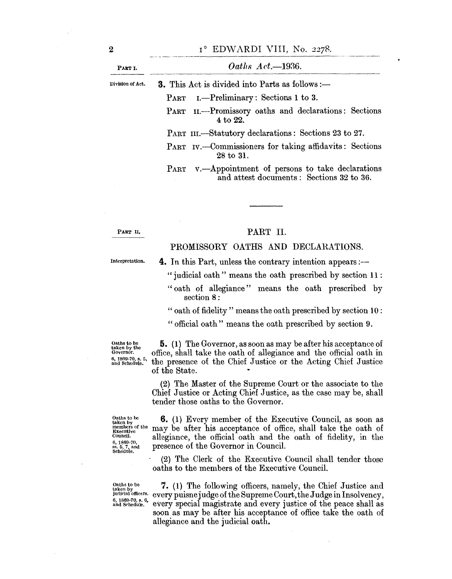| PART I.          | Oaths $Act.\rightarrow 1936.$                                                                     |  |  |
|------------------|---------------------------------------------------------------------------------------------------|--|--|
| Division of Act. | <b>3.</b> This Act is divided into Parts as follows :-                                            |  |  |
|                  | PART I. -- Preliminary: Sections 1 to 3.                                                          |  |  |
|                  | PART II.—Promissory oaths and declarations: Sections<br>4 to 22.                                  |  |  |
|                  | PART III.—Statutory declarations: Sections 23 to 27.                                              |  |  |
|                  | PART IV.—Commissioners for taking affidavits: Sections<br>28 to 31.                               |  |  |
|                  | PART v. - Appointment of persons to take declarations<br>and attest documents: Sections 32 to 36. |  |  |

PART II.

# PART II.

# PROMISSORY OATHS AND DECLARATIONS.

Interpretation.

**4.** In this Part, unless the contrary intention appears :-" judicial oath" means the oath prescribed by section 11 :

"oath of allegiance" means the oath prescribed by section 8:

"oath of fidelity" means the oath prescribed by section 10:

" official oath" means the oath prescribed by section 9.

 $\mathbf{b}_{\text{taken by the  
factor by the  
Governor.}}$  **5.** (1) The Governor, as soon as may be after his acceptance of<br> $\mathbf{b}_{\text{overnor}}$  office, shall take the oath of allegiance and the official oath in Governor. C office, shall take the oath of allegiance and the official oath in  $\frac{6}{100}$ ,  $\frac{1860 \cdot 70}{1000}$ , s. 5. the presence of the Chief Justice or the Acting Chief Justice the presence of the Chief Justice or the Acting Chief Justice of the State,

> (2) The Master of the Supreme Court or the associate to the Chief Justice or Acting Chief Justice, as the case may be, shall tender those oaths to the Governor.

Oaths to be<br>taken by<br>members of the<br>Executive

**6.** (1) Every member of the Executive Council, as soon as members of the may be after his acceptance of office, shall take the oath of fidelity in the council. Council. allegiance, the official oath and the oath of fidelity, in the  $\alpha$ , 1869-70.  $\frac{6}{5}$ ,  $\frac{1}{5}$ ,  $\frac{7}{7}$ , and presence of the Governor in Council.

> (2) The Clerk of the Executive Council shall tender those oaths to the members of the Executive Council.

Oaths to be<br>taken by<br>judicial officers. 6, 1869-70, s. 6,<br>and Schedule.

7. (1) The following officers, namely, the Chief Justice and every puisne judge of the Supreme Court, the Judge in Insolvency, every special magistrate and every justice of the peace shaH as soon as may be after his acceptance of office take the oath of allegiance and the judicial oath.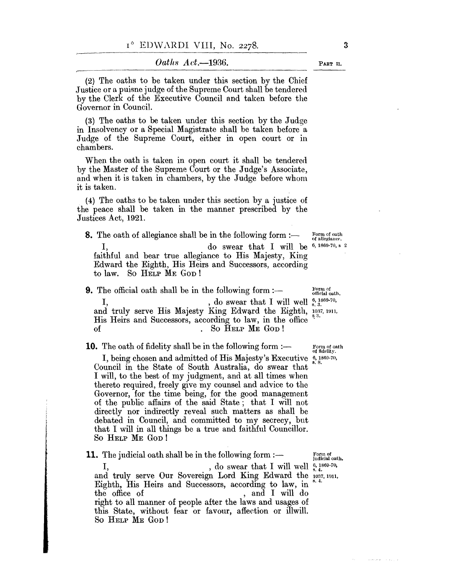*Oath8 Act.-1936.* 

 $(2)$  The oaths to be taken under this section by the Chief .J ustice or a puisne judge of the Supreme Court shall be tendered by the Clerk of the Executive Council and taken before the Governor in Council.

(3) The oaths to be taken under this section by the Judge in Insolvency or a Special Magistrate shall be taken before a Judge of the Supreme Court, either in open court or in chambers.

When the oath is taken in open court it shall be tendered by the Master of the Supreme Court or the Judge's Associate, and when it is taken in chambers, by the Judge before whom it is taken.

(4) The oaths to be taken under this section by a justice of the peace shall be taken in the manner prescribed by the Justices Act, 1921.

**8.** The oath of allegiance shall be in the following form :-Form of oath<br>of allegiance. I,  $\log \theta$  swear that I will be  $\frac{6,1869-70,8}{2}$ faithful and bear true allegiance to His Majesty, King Edward the Eighth, His Heirs and Successors, according to law. So HELP ME GOD!

**9.** The official oath shall be in the following form  $:$ I,  $\frac{1}{s}$ , do swear that I will well  $\frac{6}{s}$ ,  $\frac{1869-70}{s}$ and truly serve His Majesty King Edward the Eighth, 1037, 1911, His Heirs and Successors, according to law, in the office of . So HELP ME GOD!

**10.** The oath of fidelity shall be in the following form :-

I, being chosen and admitted of His Majesty's Executive  $\frac{6}{8}$ , 1869-70, Council in the State of South Australia, do swear that I will, to the best of my judgment, and at all times when thereto required, freely give my counsel and advice to the Governor, for the time being, for the good management of the public affairs of the said State; that I will not directly nor indirectly reveal such matters as shall be debated in Council, and committed to my secrecy, but that I will in all things be a true and faithful Councillor. So HELP ME GOD!

**11.** The judicial oath shall be in the following form  $:$   $\rightarrow$ , do swear that I will well  $\frac{6}{5}$ , 1869-70,

and truly serve Our Sovereign Lord King Edward the 1037, 1911, Eighth, His Heirs and Successors, according to law, in the office of , and I will do right to all manner of people after the laws and usages of this State, without fear or favour, affection or illwill. So HELP ME GOD!

Form of<br>judicial oath.

 $\tau_{\rm c}$  , so (i.e.  $z$ 

Form of<br>official oath.

Form of oath<br>of fidelity.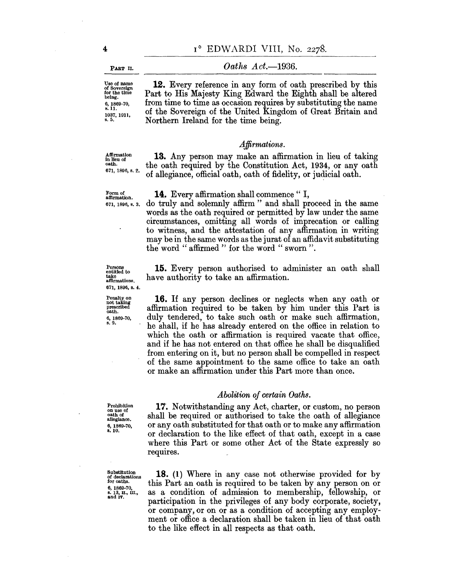PART II.

#### *Oaths Act.-1936.*

Use of name of Sovereign for the time being. 6, 1869-70, s.ll. 1037, 1911, **s.5.** 

**12.** Every reference in any form of oath prescribed by this Part to His Majesty King Edward the Eighth shall be altered from time to time as occasion requires by substituting the name of the Sovereign of the United Kingdom of Great Britain and Northern Ireland for the time being.

#### *Affirmations.*

Affirmation in lieu of oath. 671, 1896, s\_ 2\_

**13.** Any person may make an affirmation in lieu of taking the oath required by the Constitution Act, 1934, or any oath of allegiance, official oath, oath of fidelity, or judicial oath.

Form of affirmation. 671, 1896, s. 3.

Persons entitled to take affirmations. 671, 1896, s. 4.

Penalty on not taking prescribed oath.

6, 1869-70, s.9.

14. Every affirmation shall commence "I, do truly and solemnly affirm" and shall proceed in the same words as the oath required or permitted by law under the same circumstances, omitting all words of imprecation or calling to witness, and the attestation of any affirmation in writing may be in the same words as the jurat of an affidavit substituting the word " affirmed " for the word " sworn".

**15.** Every person authorised to administer an oath shall have authority to take an affirmation.

**16.** If any person declines or neglects when any oath or affirmation required to be taken by him under this Part is duly tendered, to take such oath or make such affirmation, he shall, if he has already entered on the office in relation to which the oath or affirmation is required vacate that office, and if he has not entered on that office he shall be disqualified from entering on it, but no person shall be compelled in respect of the same appointment to the same office to take an oath or make an affirmation under this Part more than once.

#### *Abolition of certain Oaths.*

Prohibition on use of oath of allegiance. 6,1869-70. 8.10.

17'. Notwithstanding any Act, charter, or custom, no person shall be required or authorised to take the oath of allegiance or any oath substituted for that oath or to make any affirmation or declaration to the like effect of that oath, except in a case where this Part or some other Act of the State expressly so requires.

Substitution of declarations for oaths. 6,1869-70, s. 13, II., III.,<br>and IV.

**18.** (1) Where in any case not otherwise provided for by this Part an oath is required to be taken by any person on or as a condition of admission to membership, fellowship, or participation in the privileges of any body corporate, society, or company, or on or as a condition of accepting any employment or office a declaration shall be taken in lieu of that oath to the like effect in all respects as that oath.

4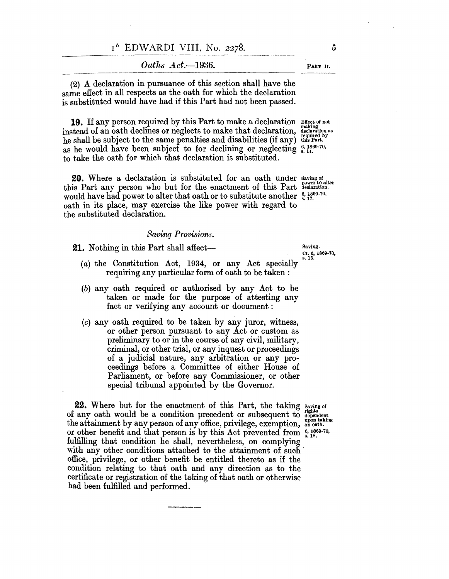| $I^6$ EDWARDI VIII, No. 2278. |  |  |  |
|-------------------------------|--|--|--|
|-------------------------------|--|--|--|

|                                                                                                                | Oaths $Act. - 1936.$ |
|----------------------------------------------------------------------------------------------------------------|----------------------|
| the column construction of the column of the column of the column of the column of the column of the column of |                      |

(2) A declaration in pursuance of this section shall have the same effect in all respects as the oath for which the declaration is substituted would have had if this Part had not been passed.

**19.** If any person required by this Part to make a declaration instead of an oath declines or neglects to make that declaration, instead of an oath declines or neglects to make that declaration, declaration as required by the shall be subject to the same penalties and disabilities (if any) this Part. as he would have been subject to for declining or neglecting  $\frac{6}{5}$ ,  $\frac{1869-70}{14}$ , to take the oath for which that declaration is substituted. Effect of not making

**20.** Where a declaration is substituted for an oath under this Part any person who but for the enactment of this Part would have had power to alter that oath or to substitute another  $\frac{6}{8}$ ,  $\frac{1869-70}{17}$ , oath in its place, may exercise the like power with regard to the substituted declaration. Saving of<br>power to alter<br>declaration.

#### *Saving Provisions.*

**21.** Nothing in this Part shall affect-

Cf. 6, 1869·70, s.15.

- (a) the Constitution Act, 1934, or any Act specially requiring any particular form of oath to be taken:
- (b) any oath required or authorised by any Act to be taken or made for the purpose of attesting any fact or verifying any account or document:
- (c) any oath required to be taken by any juror, witness, or other person pursuant to any Act or custom as preliminary to or in the course of any civil, military, criminal, or other trial, or any inquest or proceedings of a judicial nature, any arbitration or any proceedings before a Committee of either House of Parliament, or before any Commissioner, or other special tribunal appointed by the Governor.

**22.** Where but for the enactment of this Part, the taking saving of of any oath would be a condition precedent or subsequent to dependent<br>the attainment by any person of any office, privilege, exemption, an oath. or other benefit and that person is by this Act prevented from  $\frac{6}{8}$ , 1809-70, fulfilling that condition he shall, nevertheless, on complying with any other conditions attached to the attainment of such office, privilege, or other benefit be entitled thereto as if the condition relating to that oath and any direction as to the certificate or registration of the taking of that oath or otherwise had been fulfilled and performed.

PART 11.

5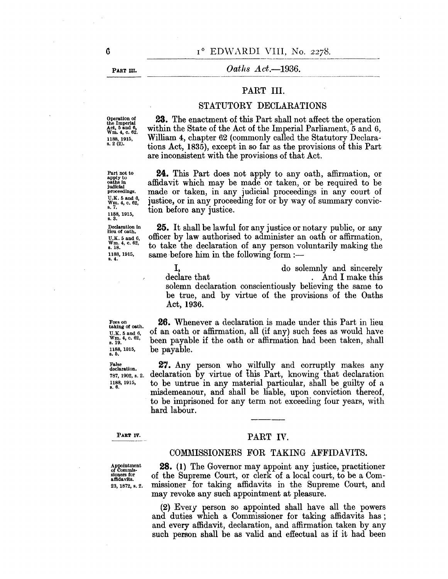PART m.

## *Oaths Act.*-1936.

# PART III.

### STATUTORY DECLARATIONS

Operation of the Imperial Act, 5 and 6, Wm. 4, c. 62. 1188,1915, s. 2 (2).

Part not to apply to oaths in judicial proceedings. U.K. 5 and 6,<br>Wm. 4, c. 62,<br>s. 7. 1188,1915, s.3. Declaration In lieu of oath. U.K. 5 and 6, Wm. 4, c. 62, s.18. 1188,1915, s.4.

**23.** The enactment of this Part shall not affect the operation within the State of the Act of the Imperial Parliament, 5 and 6, William 4, chapter 62 (commonly called the Statutory Declarations Act, 1835), except in so far as the provisions of this Part are inconsistent with the provisions of that Act.

**24.** This Part does not apply to any oath, affirmation, or affidavit which may be made or taken, or be required to be made or taken, in any judicial proceedings in any court of justice, or in any proceeding for or by way of summary conviction before any justice.

**25.** It shall be lawful for any justice or notary public, or any officer by law authorised to administer an oath or affirmation, to take the declaration of any person voluntarily making the same before him in the following form  $:$ 

I, do solemnly and sincerely declare that . And I make this solemn declaration conscientiously believing the same to be true, and by virtue of the provisions of the Oaths Act, 1936.

Fees on taking of oath. U.K. 5 and 6, Wm. 4, c. 62, s.19. 1188,1915, s.5.

False declaration. 787, 1902, s. 2. 1188,1915, s.6.

**26.** Whenever a declaration is made under this Part in lieu of an oath or affirmation, all (if any) such fees as would have been payable if the oath or affirmation had been taken, shall be payable.

27. Any person who wilfully and corruptly makes any declaration by virtue of this Part, knowing that declaration to be untrue in any material particular, shall be guilty of a misdemeanour, and shall be liable, upon conviction thereof, to be imprisoned for any term not exceeding four years, with hard labour.

PART IV.

### PART IV.

### COMMISSIONERS FOR TAKING AFFIDAVITS.

Appointment<br>of Commis-<br>sioners for<br>affidavits. 23, 1872, s. 2.

**28.** (1) The Governor may appoint any justice, practitioner of the Supreme Court, or clerk of a local court, to be a Commissioner for taking affidavits in the Supreme Court, and may revoke any such appointment at pleasure.

(2) EvelY person so appointed shall have all the powers and duties which a Commissioner for taking affidavits has; and every affidavit, declaration, and affirmation taken by any such person shall be as valid and effectual as if it had been

G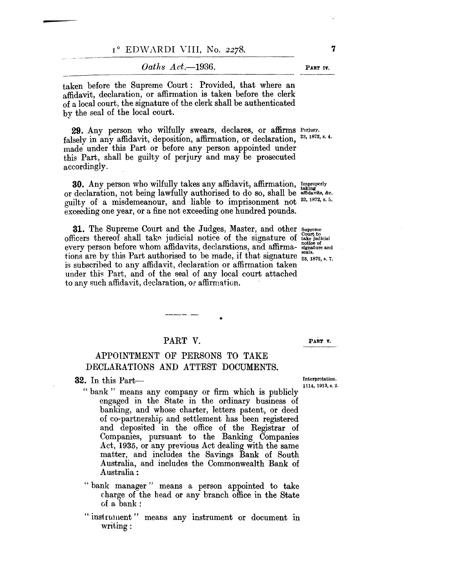taken before the Supreme Court: Provided, that where an affidavit, declaration, or affirmation is taken before the clerk of a local court, the signature of the clerk shall be authenticated by the seal of the local court.

**29.** Any person who wilfully swears, declares, or affirms Perjury. falsely in any affidavit, deposition, affirmation, or declaration, made under this Part or before any person appointed under this Part, shall be guilty of perjury and may be prosecuted accordingly. 23, 1872, s. 4.

**30.** Any person who wilfully takes any affidavit, affirmation, Improperly or declaration, not being lawfully authorised to do so, shall be affidavits, &c. guilty of a misdemeanour, and liable to imprisonment not 23,1872, s. 5. exceeding one year, or a fine not exceeding one hundred pounds.

**31.** The Supreme Court and the Judges, Master, and other supreme officers thereof shall take judicial notice of the signature of  $\frac{1}{4}$  take judicial b flucture interest strain takes judicial hource of the signature of takes did afficie of every person before whom affidavits, declarations, and affirma- signature and tions are by this Part authorised to be made, if that signature  $\frac{323}{23}$ ,  $\frac{1872}{1872}$ , s. 7. is subscribed to any affidavit, declaration or affirmation taken under this Part, and of the seal of any local court attached to any such affidavit, declaration, or affirmation.

# PART V.

,.

# APPOINTMENT OF PERSONS TO TAKE DECLARATIONS AND ATTEST DOCUMENTS.

**32.** In this Part—

**-**

lll4, 1913, s. 2.

PART V.

- " bank" means any company or firm which is publicly engaged in the State in the ordinary business of banking, and whose charter, letters patent, or deed of co-partnership and settlement has been registered and deposited in the office of the Registrar of Companies, pursuant to the Banking Companies Act, 1935, or any previous Act dealing with the same matter, and includes the Savings Bank of South Australia, and includes the Commonwealth Bank of Australia:
- "bank manager" means a person appointed to take charge of the head or any branch office in the State of a bank:
- " instrument" means any instrument or document in  $writing:$

PART IV.

7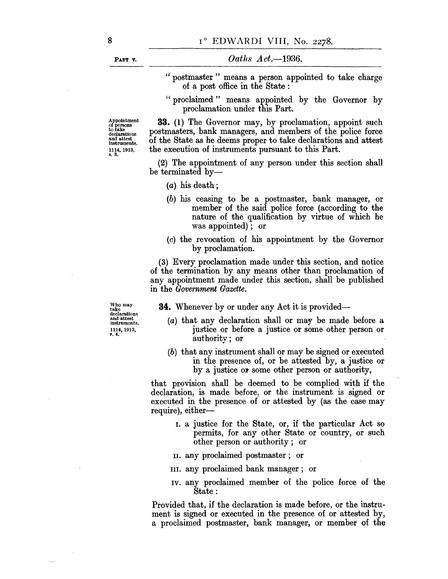PART V.

- " postmaster " means a person appointed to take charge of a post office in the State :
- "proclaimed" means appointed by the Governor by proclamation under this Part.

Appointment of persons to take declarations and attest<br>instruments. 1114, 1913, s.3.

**33.** (1) The Governor may, by proclamation, appoint such postmasters, bank managers, and members of the police force of the State as he deems proper to take declarations and attest the execution of instruments pursuant to this Part.

(2) The appointment of any person under this section shall be terminated by-

- $(a)$  his death;
- (b) his ceasing to be a postmaster, bank manager, or member of the said police force (according to the nature of the qualification by virtue of which he was appointed); or
- (c) the revocation of his appointment by the Governor by proclamation.

(3) Every proclamation made under this section, and notice of the termination by any means other than proclamation of any appointment made under this section, shall be published in the *Government Gazette.* 

**34.** Whenever by or under any Act it is provided—

Who may<br>take<br>declarations and attest instruments. 1114,1913, ~. 4.

- (a) that any declaration shall or may be made before a justice or before a justice or some other person or authority; or
- (b) that any instrument shall or may be signed or executed in the presence of, or be attested by, a justice or by a justice or some other person or authority,

that provision shall be deemed to be complied with if the declaration, is made before, or the instrument is signed or executed in the presence of or attested by (as the case may require), either-

- 1. a justice for the State, or, if the particular Act so permits, for any other State or country, or such other person or authority; or
- II. any proclaimed postmaster; or
- III. any proclaimed bank manager; or
- IV. any proclaimed member of the police force of the State:

Provided that, if the declaration is made before, or the instrument is signed or executed in the presence of or attested by, a proclaimed postmaster, bank manager, or member of the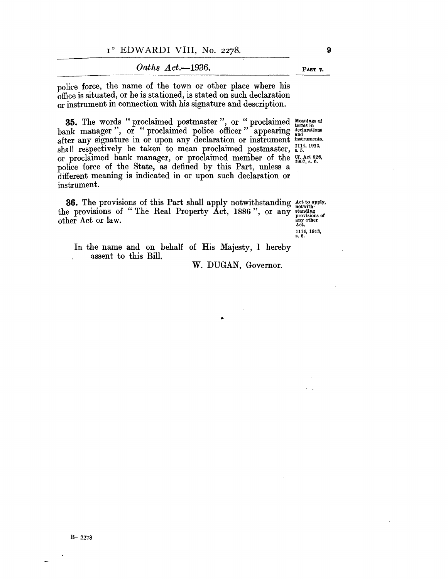*Oaths Act.-1936.* 

police force, the name of the town or other place where his office is situated, or he is stationed, is stated on such declaration or instrument in connection with his signature and description.

**35.** The words "proclaimed postmaster", or "proclaimed Meanings of bank manager", or "proclaimed police officer" appearing declarations after any signature in or upon any declaration or instrument instruments. shall respectively be taken to mean proclaimed postmaster, s. 5. or proclaimed bank manager, or proclaimed member of the Cf. Act 926, police force of the State, as defined by this Part, unless a different meaning is indicated in or upon such declaration or instrument.

**36.** The provisions of this Part shall apply notwithstanding Act to apply, the provisions of "The Real Property  $\overline{\text{Act}}$ , 1886", or any standing provisions of other Act or law.  $\overline{\text{atm}}$  any other

1114,1913, s.6.

In the name and on behalf of His Majesty, I hereby assent to this Bill.

W. DUGAN, Governor.

9

PART V.